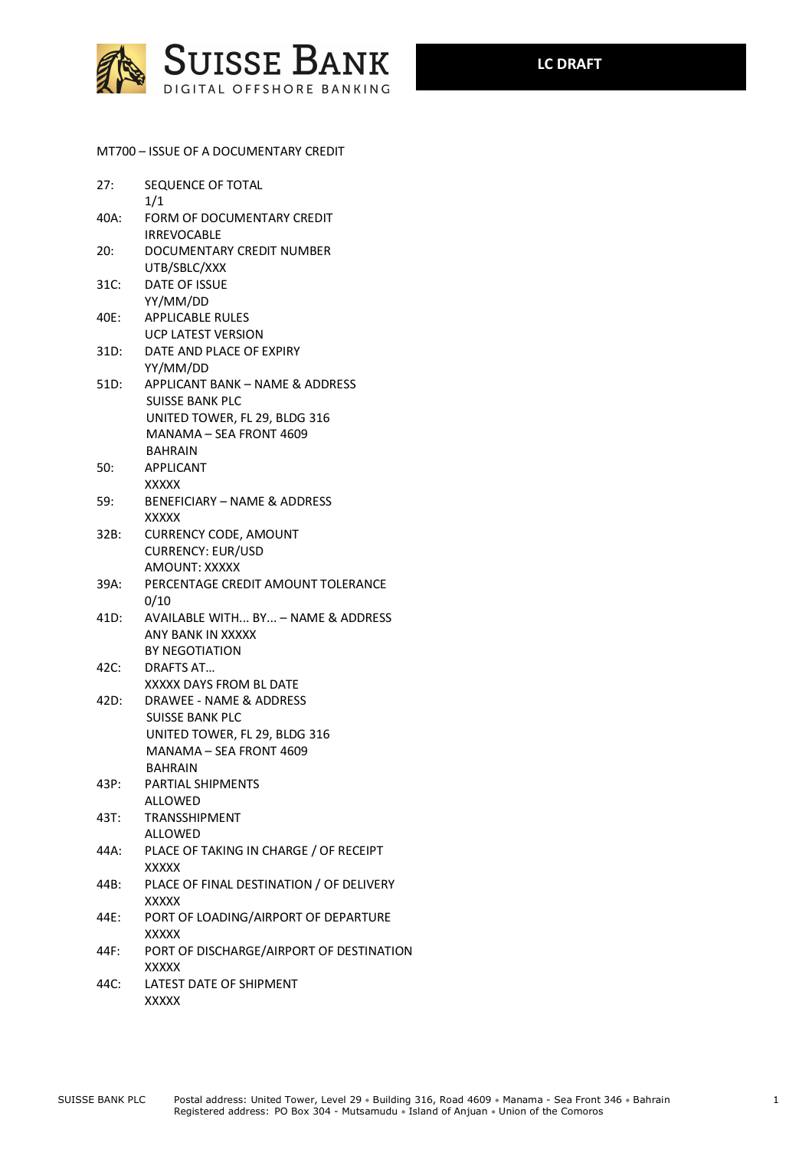

MT700 – ISSUE OF A DOCUMENTARY CREDIT

| 27:  | SEQUENCE OF TOTAL<br>1/1                                                                                      |
|------|---------------------------------------------------------------------------------------------------------------|
|      | 40A: FORM OF DOCUMENTARY CREDIT<br><b>IRREVOCABLE</b>                                                         |
| 20:  | DOCUMENTARY CREDIT NUMBER                                                                                     |
| 31C: | UTB/SBLC/XXX<br><b>DATE OF ISSUE</b><br>YY/MM/DD                                                              |
| 40E: | <b>APPLICABLE RULES</b><br><b>UCP LATEST VERSION</b>                                                          |
| 31D: | DATE AND PLACE OF EXPIRY<br>YY/MM/DD                                                                          |
| 51D: | APPLICANT BANK - NAME & ADDRESS<br>SUISSE BANK PLC<br>UNITED TOWER, FL 29, BLDG 316                           |
|      | MANAMA - SEA FRONT 4609<br><b>BAHRAIN</b>                                                                     |
| 50:  | <b>APPLICANT</b><br><b>XXXXX</b>                                                                              |
| 59:  | <b>BENEFICIARY - NAME &amp; ADDRESS</b><br><b>XXXXX</b>                                                       |
| 32B: | <b>CURRENCY CODE, AMOUNT</b><br><b>CURRENCY: EUR/USD</b><br>AMOUNT: XXXXX                                     |
| 39A: | PERCENTAGE CREDIT AMOUNT TOLERANCE<br>0/10                                                                    |
| 41D: | AVAILABLE WITH BY - NAME & ADDRESS<br>ANY BANK IN XXXXX<br>BY NEGOTIATION                                     |
| 42C: | DRAFTS AT<br>XXXXX DAYS FROM BL DATE                                                                          |
| 42D: | DRAWEE - NAME & ADDRESS<br><b>SUISSE BANK PLC</b><br>UNITED TOWER, FL 29, BLDG 316<br>MANAMA – SEA FRONT 4609 |
| 43P: | <b>BAHRAIN</b><br><b>PARTIAL SHIPMENTS</b><br><b>ALLOWED</b>                                                  |
| 43T: | <b>TRANSSHIPMENT</b><br><b>ALLOWED</b>                                                                        |
| 44A: | PLACE OF TAKING IN CHARGE / OF RECEIPT<br><b>XXXXX</b>                                                        |
| 44B: | PLACE OF FINAL DESTINATION / OF DELIVERY<br><b>XXXXX</b>                                                      |
| 44E: | PORT OF LOADING/AIRPORT OF DEPARTURE<br><b>XXXXX</b>                                                          |
| 44F: | PORT OF DISCHARGE/AIRPORT OF DESTINATION<br><b>XXXXX</b>                                                      |
| 44C: | LATEST DATE OF SHIPMENT<br><b>XXXXX</b>                                                                       |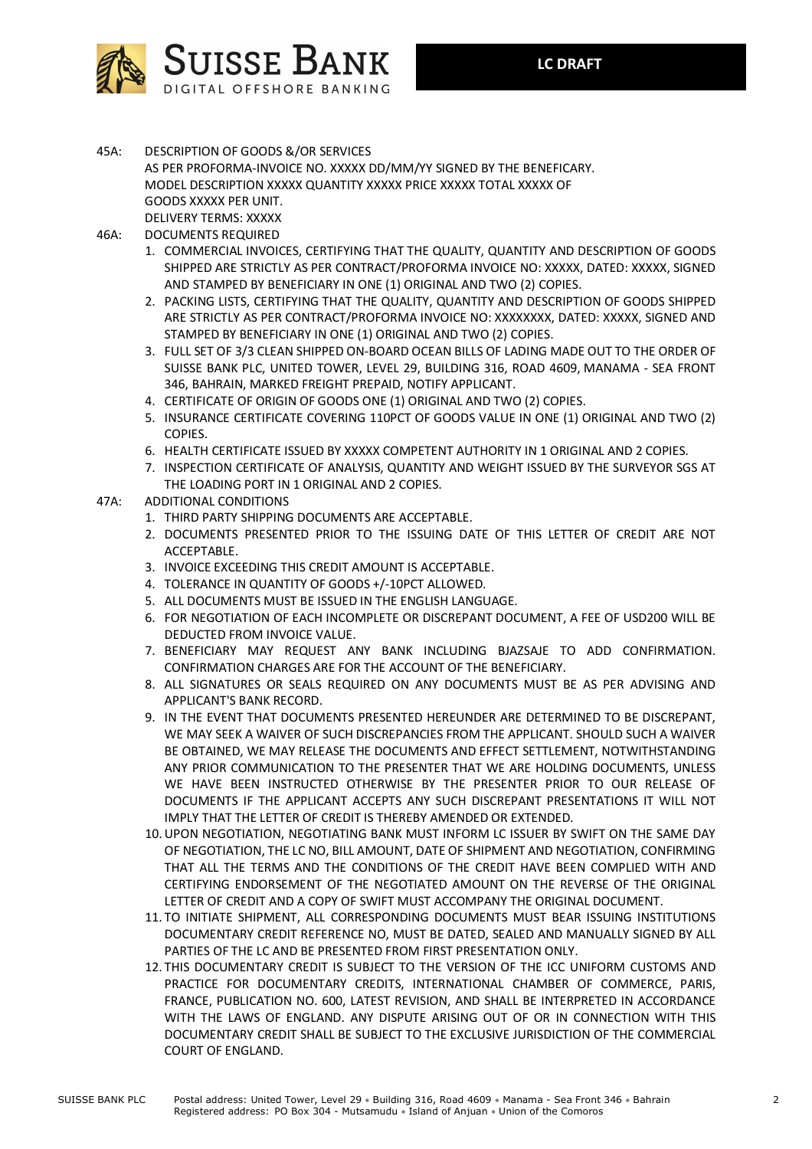

45A: DESCRIPTION OF GOODS &/OR SERVICES AS PER PROFORMA-INVOICE NO. XXXXX DD/MM/YY SIGNED BY THE BENEFICARY. MODEL DESCRIPTION XXXXX QUANTITY XXXXX PRICE XXXXX TOTAL XXXXX OF GOODS XXXXX PER UNIT.

DELIVERY TERMS: XXXXX

- 46A: DOCUMENTS REQUIRED
	- 1. COMMERCIAL INVOICES, CERTIFYING THAT THE QUALITY, QUANTITY AND DESCRIPTION OF GOODS SHIPPED ARE STRICTLY AS PER CONTRACT/PROFORMA INVOICE NO: XXXXX, DATED: XXXXX, SIGNED AND STAMPED BY BENEFICIARY IN ONE (1) ORIGINAL AND TWO (2) COPIES.
	- 2. PACKING LISTS, CERTIFYING THAT THE QUALITY, QUANTITY AND DESCRIPTION OF GOODS SHIPPED ARE STRICTLY AS PER CONTRACT/PROFORMA INVOICE NO: XXXXXXXX, DATED: XXXXX, SIGNED AND STAMPED BY BENEFICIARY IN ONE (1) ORIGINAL AND TWO (2) COPIES.
	- 3. FULL SET OF 3/3 CLEAN SHIPPED ON-BOARD OCEAN BILLS OF LADING MADE OUT TO THE ORDER OF SUISSE BANK PLC, UNITED TOWER, LEVEL 29, BUILDING 316, ROAD 4609, MANAMA - SEA FRONT 346, BAHRAIN, MARKED FREIGHT PREPAID, NOTIFY APPLICANT.
	- 4. CERTIFICATE OF ORIGIN OF GOODS ONE (1) ORIGINAL AND TWO (2) COPIES.
	- 5. INSURANCE CERTIFICATE COVERING 110PCT OF GOODS VALUE IN ONE (1) ORIGINAL AND TWO (2) COPIES.
	- 6. HEALTH CERTIFICATE ISSUED BY XXXXX COMPETENT AUTHORITY IN 1 ORIGINAL AND 2 COPIES.
	- 7. INSPECTION CERTIFICATE OF ANALYSIS, QUANTITY AND WEIGHT ISSUED BY THE SURVEYOR SGS AT THE LOADING PORT IN 1 ORIGINAL AND 2 COPIES.

## 47A: ADDITIONAL CONDITIONS

- 1. THIRD PARTY SHIPPING DOCUMENTS ARE ACCEPTABLE.
- 2. DOCUMENTS PRESENTED PRIOR TO THE ISSUING DATE OF THIS LETTER OF CREDIT ARE NOT ACCEPTABLE.
- 3. INVOICE EXCEEDING THIS CREDIT AMOUNT IS ACCEPTABLE.
- 4. TOLERANCE IN QUANTITY OF GOODS +/-10PCT ALLOWED.
- 5. ALL DOCUMENTS MUST BE ISSUED IN THE ENGLISH LANGUAGE.
- 6. FOR NEGOTIATION OF EACH INCOMPLETE OR DISCREPANT DOCUMENT, A FEE OF USD200 WILL BE DEDUCTED FROM INVOICE VALUE.
- 7. BENEFICIARY MAY REQUEST ANY BANK INCLUDING BJAZSAJE TO ADD CONFIRMATION. CONFIRMATION CHARGES ARE FOR THE ACCOUNT OF THE BENEFICIARY.
- 8. ALL SIGNATURES OR SEALS REQUIRED ON ANY DOCUMENTS MUST BE AS PER ADVISING AND APPLICANT'S BANK RECORD.
- 9. IN THE EVENT THAT DOCUMENTS PRESENTED HEREUNDER ARE DETERMINED TO BE DISCREPANT, WE MAY SEEK A WAIVER OF SUCH DISCREPANCIES FROM THE APPLICANT. SHOULD SUCH A WAIVER BE OBTAINED, WE MAY RELEASE THE DOCUMENTS AND EFFECT SETTLEMENT, NOTWITHSTANDING ANY PRIOR COMMUNICATION TO THE PRESENTER THAT WE ARE HOLDING DOCUMENTS, UNLESS WE HAVE BEEN INSTRUCTED OTHERWISE BY THE PRESENTER PRIOR TO OUR RELEASE OF DOCUMENTS IF THE APPLICANT ACCEPTS ANY SUCH DISCREPANT PRESENTATIONS IT WILL NOT IMPLY THAT THE LETTER OF CREDIT IS THEREBY AMENDED OR EXTENDED.
- 10.UPON NEGOTIATION, NEGOTIATING BANK MUST INFORM LC ISSUER BY SWIFT ON THE SAME DAY OF NEGOTIATION, THE LC NO, BILL AMOUNT, DATE OF SHIPMENT AND NEGOTIATION, CONFIRMING THAT ALL THE TERMS AND THE CONDITIONS OF THE CREDIT HAVE BEEN COMPLIED WITH AND CERTIFYING ENDORSEMENT OF THE NEGOTIATED AMOUNT ON THE REVERSE OF THE ORIGINAL LETTER OF CREDIT AND A COPY OF SWIFT MUST ACCOMPANY THE ORIGINAL DOCUMENT.
- 11. TO INITIATE SHIPMENT, ALL CORRESPONDING DOCUMENTS MUST BEAR ISSUING INSTITUTIONS DOCUMENTARY CREDIT REFERENCE NO, MUST BE DATED, SEALED AND MANUALLY SIGNED BY ALL PARTIES OF THE LC AND BE PRESENTED FROM FIRST PRESENTATION ONLY.
- 12. THIS DOCUMENTARY CREDIT IS SUBJECT TO THE VERSION OF THE ICC UNIFORM CUSTOMS AND PRACTICE FOR DOCUMENTARY CREDITS, INTERNATIONAL CHAMBER OF COMMERCE, PARIS, FRANCE, PUBLICATION NO. 600, LATEST REVISION, AND SHALL BE INTERPRETED IN ACCORDANCE WITH THE LAWS OF ENGLAND. ANY DISPUTE ARISING OUT OF OR IN CONNECTION WITH THIS DOCUMENTARY CREDIT SHALL BE SUBJECT TO THE EXCLUSIVE JURISDICTION OF THE COMMERCIAL COURT OF ENGLAND.